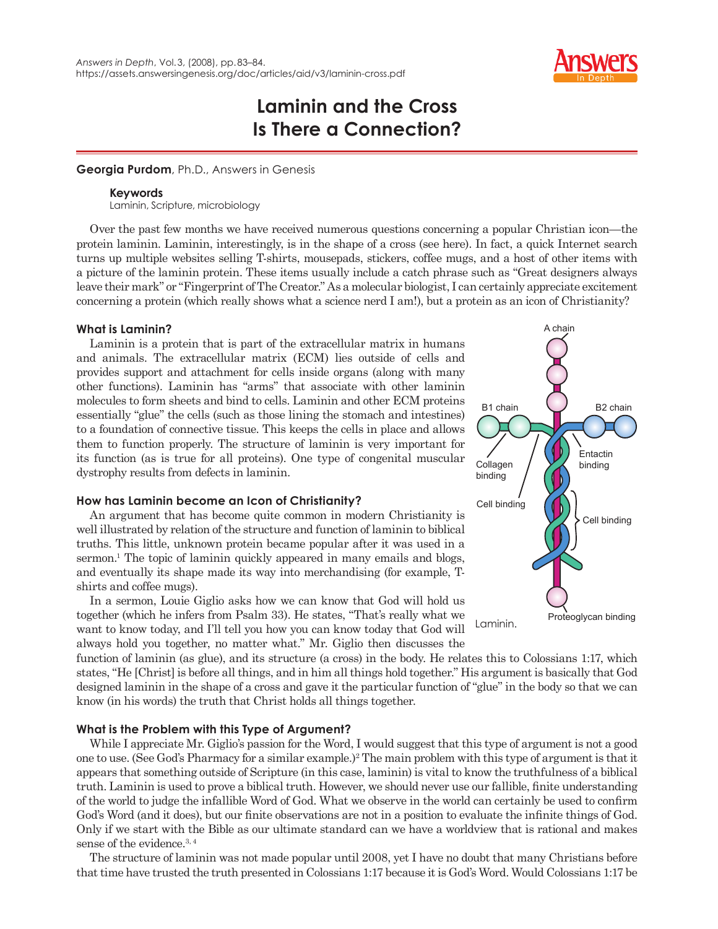

# **Laminin and the Cross Is There a Connection?**

## **Georgia Purdom**, Ph.D., Answers in Genesis

### **Keywords**

Laminin, Scripture, microbiology

Over the past few months we have received numerous questions concerning a popular Christian icon—the protein laminin. Laminin, interestingly, is in the shape of a cross (see here). In fact, a quick Internet search turns up multiple websites selling T-shirts, mousepads, stickers, coffee mugs, and a host of other items with a picture of the laminin protein. These items usually include a catch phrase such as "Great designers always leave their mark" or "Fingerprint of The Creator." As a molecular biologist, I can certainly appreciate excitement concerning a protein (which really shows what a science nerd I am!), but a protein as an icon of Christianity?

## **What is Laminin?**

Laminin is a protein that is part of the extracellular matrix in humans and animals. The extracellular matrix (ECM) lies outside of cells and provides support and attachment for cells inside organs (along with many other functions). Laminin has "arms" that associate with other laminin molecules to form sheets and bind to cells. Laminin and other ECM proteins essentially "glue" the cells (such as those lining the stomach and intestines) to a foundation of connective tissue. This keeps the cells in place and allows them to function properly. The structure of laminin is very important for its function (as is true for all proteins). One type of congenital muscular dystrophy results from defects in laminin.

# **How has Laminin become an Icon of Christianity?**

An argument that has become quite common in modern Christianity is well illustrated by relation of the structure and function of laminin to biblical truths. This little, unknown protein became popular after it was used in a sermon.<sup>1</sup> The topic of laminin quickly appeared in many emails and blogs, and eventually its shape made its way into merchandising (for example, Tshirts and coffee mugs).

In a sermon, Louie Giglio asks how we can know that God will hold us together (which he infers from Psalm 33). He states, "That's really what we want to know today, and I'll tell you how you can know today that God will always hold you together, no matter what." Mr. Giglio then discusses the



function of laminin (as glue), and its structure (a cross) in the body. He relates this to Colossians 1:17, which states, "He [Christ] is before all things, and in him all things hold together." His argument is basically that God designed laminin in the shape of a cross and gave it the particular function of "glue" in the body so that we can know (in his words) the truth that Christ holds all things together.

# **What is the Problem with this Type of Argument?**

While I appreciate Mr. Giglio's passion for the Word, I would suggest that this type of argument is not a good one to use. (See God's Pharmacy for a similar example.)<sup>2</sup> The main problem with this type of argument is that it appears that something outside of Scripture (in this case, laminin) is vital to know the truthfulness of a biblical truth. Laminin is used to prove a biblical truth. However, we should never use our fallible, finite understanding of the world to judge the infallible Word of God. What we observe in the world can certainly be used to confirm God's Word (and it does), but our finite observations are not in a position to evaluate the infinite things of God. Only if we start with the Bible as our ultimate standard can we have a worldview that is rational and makes sense of the evidence.<sup>3, 4</sup>

The structure of laminin was not made popular until 2008, yet I have no doubt that many Christians before that time have trusted the truth presented in Colossians 1:17 because it is God's Word. Would Colossians 1:17 be